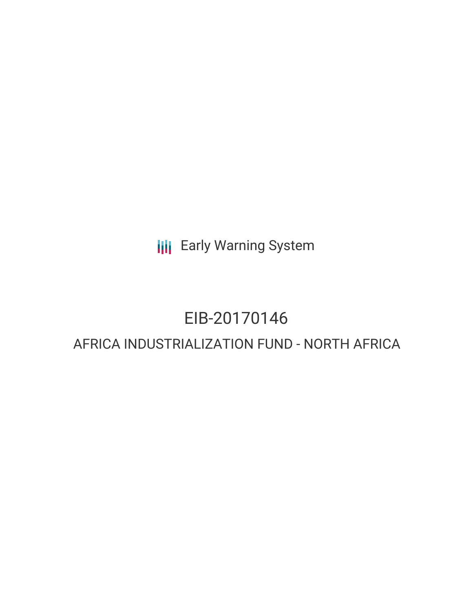**III** Early Warning System

# EIB-20170146

# AFRICA INDUSTRIALIZATION FUND - NORTH AFRICA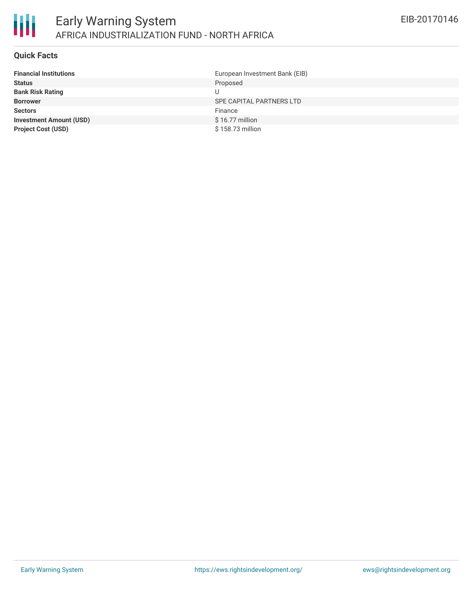

#### **Quick Facts**

朋

| <b>Financial Institutions</b>  | European Investment Bank (EIB) |
|--------------------------------|--------------------------------|
| <b>Status</b>                  | Proposed                       |
| <b>Bank Risk Rating</b>        | U                              |
| <b>Borrower</b>                | SPE CAPITAL PARTNERS LTD       |
| <b>Sectors</b>                 | Finance                        |
| <b>Investment Amount (USD)</b> | $$16.77$ million               |
| <b>Project Cost (USD)</b>      | \$158,73 million               |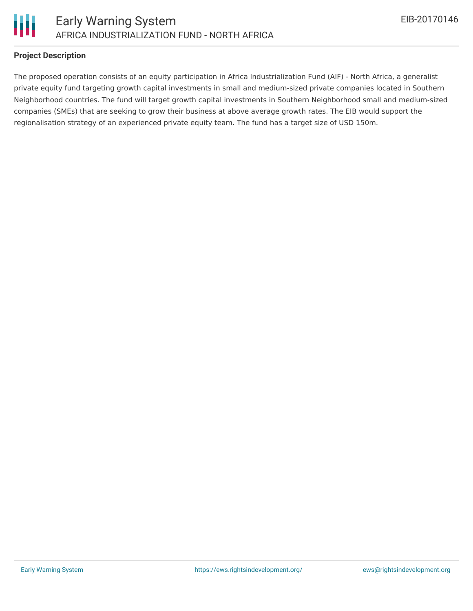

## **Project Description**

The proposed operation consists of an equity participation in Africa Industrialization Fund (AIF) - North Africa, a generalist private equity fund targeting growth capital investments in small and medium-sized private companies located in Southern Neighborhood countries. The fund will target growth capital investments in Southern Neighborhood small and medium-sized companies (SMEs) that are seeking to grow their business at above average growth rates. The EIB would support the regionalisation strategy of an experienced private equity team. The fund has a target size of USD 150m.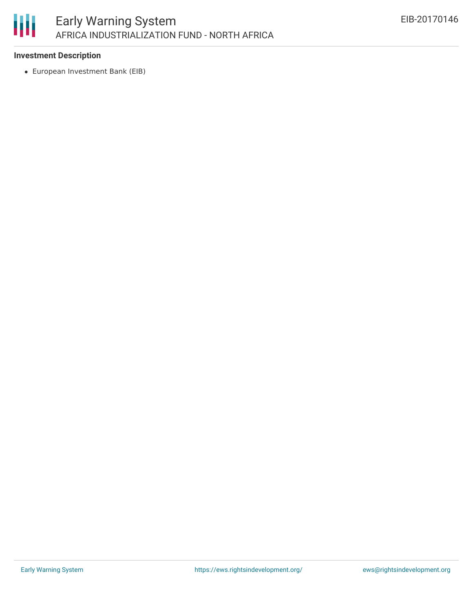

## **Investment Description**

European Investment Bank (EIB)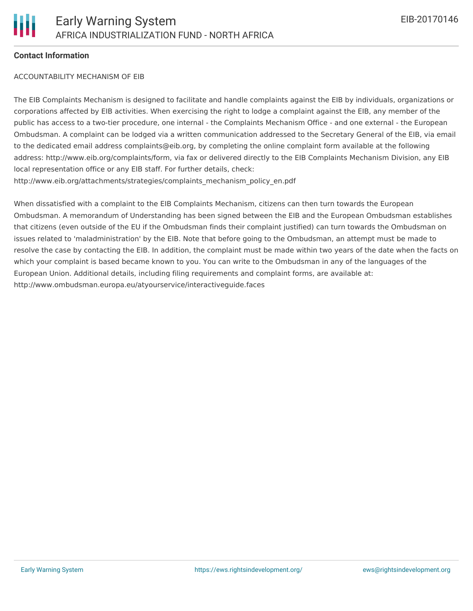#### **Contact Information**

#### ACCOUNTABILITY MECHANISM OF EIB

The EIB Complaints Mechanism is designed to facilitate and handle complaints against the EIB by individuals, organizations or corporations affected by EIB activities. When exercising the right to lodge a complaint against the EIB, any member of the public has access to a two-tier procedure, one internal - the Complaints Mechanism Office - and one external - the European Ombudsman. A complaint can be lodged via a written communication addressed to the Secretary General of the EIB, via email to the dedicated email address complaints@eib.org, by completing the online complaint form available at the following address: http://www.eib.org/complaints/form, via fax or delivered directly to the EIB Complaints Mechanism Division, any EIB local representation office or any EIB staff. For further details, check: http://www.eib.org/attachments/strategies/complaints\_mechanism\_policy\_en.pdf

When dissatisfied with a complaint to the EIB Complaints Mechanism, citizens can then turn towards the European Ombudsman. A memorandum of Understanding has been signed between the EIB and the European Ombudsman establishes that citizens (even outside of the EU if the Ombudsman finds their complaint justified) can turn towards the Ombudsman on issues related to 'maladministration' by the EIB. Note that before going to the Ombudsman, an attempt must be made to resolve the case by contacting the EIB. In addition, the complaint must be made within two years of the date when the facts on which your complaint is based became known to you. You can write to the Ombudsman in any of the languages of the European Union. Additional details, including filing requirements and complaint forms, are available at: http://www.ombudsman.europa.eu/atyourservice/interactiveguide.faces